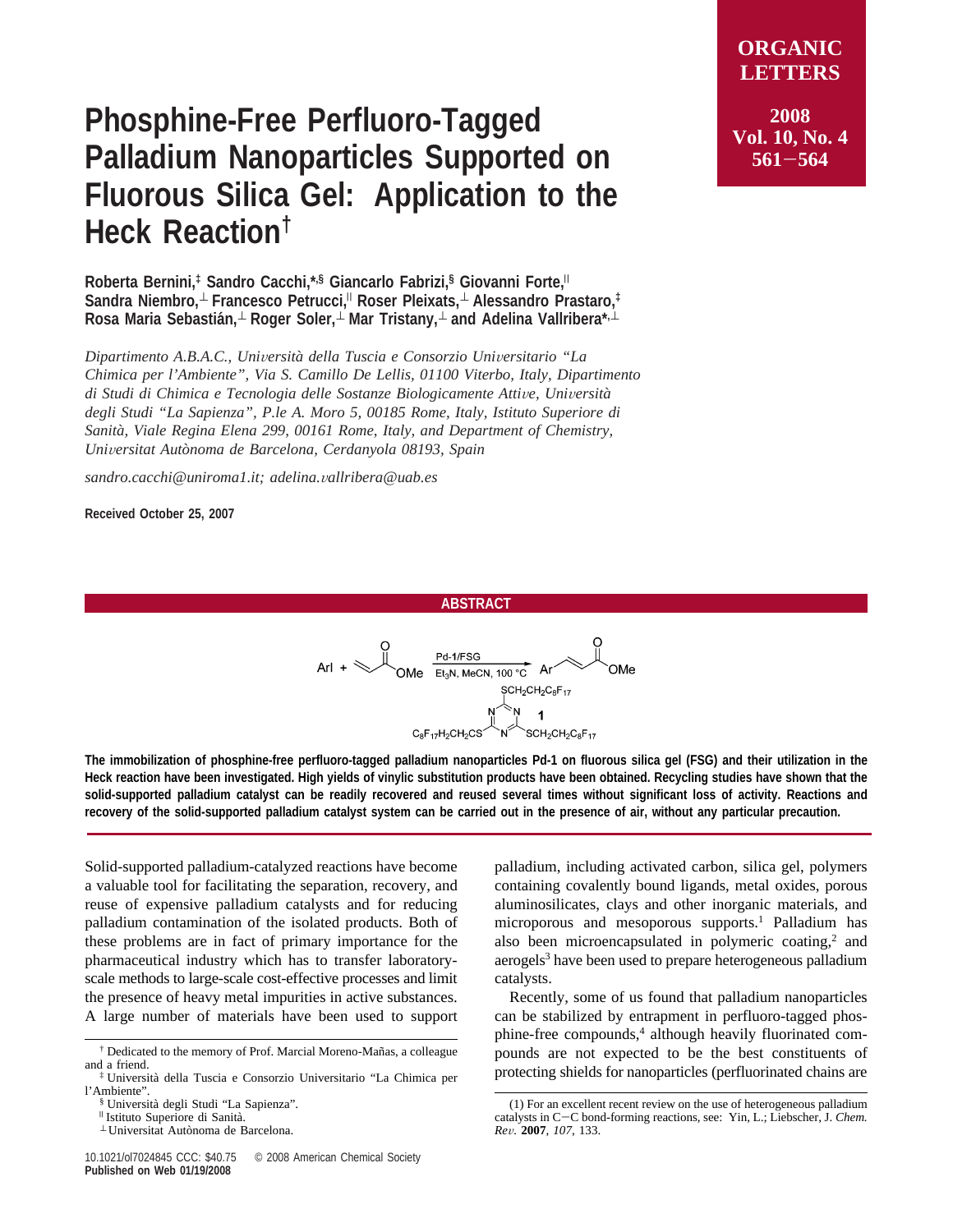## **Phosphine-Free Perfluoro-Tagged Palladium Nanoparticles Supported on Fluorous Silica Gel: Application to the Heck Reaction†**

**Roberta Bernini,‡ Sandro Cacchi,\*,§ Giancarlo Fabrizi,§ Giovanni Forte,**<sup>|</sup> **Sandra Niembro,**<sup>⊥</sup> **Francesco Petrucci,**<sup>|</sup> **Roser Pleixats,**<sup>⊥</sup> **Alessandro Prastaro,‡ Rosa Maria Sebastia´n,**<sup>⊥</sup> **Roger Soler,**<sup>⊥</sup> **Mar Tristany,**<sup>⊥</sup> **and Adelina Vallribera\*,**<sup>⊥</sup>

*Dipartimento A.B.A.C., Uni*V*ersita*` *della Tuscia e Consorzio Uni*V*ersitario "La Chimica per l'Ambiente", Via S. Camillo De Lellis, 01100 Viterbo, Italy, Dipartimento di Studi di Chimica e Tecnologia delle Sostanze Biologicamente Atti*V*e, Uni*V*ersita*` *degli Studi "La Sapienza", P.le A. Moro 5, 00185 Rome, Italy, Istituto Superiore di Sanita*`*, Viale Regina Elena 299, 00161 Rome, Italy, and Department of Chemistry, Uni*V*ersitat Auto*`*noma de Barcelona, Cerdanyola 08193, Spain*

Í

*sandro.cacchi@uniroma1.it; adelina.*V*allribera@uab.es*

**Received October 25, 2007**

**2008 Vol. 10, No. 4 <sup>561</sup>**-**<sup>564</sup>**

## **ABSTRACT**

$$
\lambda rI + \bigotimes \text{OMe} \begin{array}{c}\nO \\
\text{Pd-1/FSG} \\
\text{OMe} \\
\text{SCH}_{2}CH_{2}C_{8}F_{17}\n\end{array}\n\text{OMe}
$$

**The immobilization of phosphine-free perfluoro-tagged palladium nanoparticles Pd-1 on fluorous silica gel (FSG) and their utilization in the Heck reaction have been investigated. High yields of vinylic substitution products have been obtained. Recycling studies have shown that the solid-supported palladium catalyst can be readily recovered and reused several times without significant loss of activity. Reactions and recovery of the solid-supported palladium catalyst system can be carried out in the presence of air, without any particular precaution.**

Solid-supported palladium-catalyzed reactions have become a valuable tool for facilitating the separation, recovery, and reuse of expensive palladium catalysts and for reducing palladium contamination of the isolated products. Both of these problems are in fact of primary importance for the pharmaceutical industry which has to transfer laboratoryscale methods to large-scale cost-effective processes and limit the presence of heavy metal impurities in active substances. A large number of materials have been used to support

palladium, including activated carbon, silica gel, polymers containing covalently bound ligands, metal oxides, porous aluminosilicates, clays and other inorganic materials, and microporous and mesoporous supports.<sup>1</sup> Palladium has also been microencapsulated in polymeric coating, $2$  and aerogels<sup>3</sup> have been used to prepare heterogeneous palladium catalysts.

Recently, some of us found that palladium nanoparticles can be stabilized by entrapment in perfluoro-tagged phosphine-free compounds,<sup>4</sup> although heavily fluorinated compounds are not expected to be the best constituents of protecting shields for nanoparticles (perfluorinated chains are

<sup>&</sup>lt;sup>†</sup> Dedicated to the memory of Prof. Marcial Moreno-Mañas, a colleague and a friend.

<sup>‡</sup> Universita` della Tuscia e Consorzio Universitario "La Chimica per l'Ambiente".<br>
§ Università degli Studi "La Sapienza".

<sup>&</sup>lt;sup>∥</sup> Istituto Superiore di Sanità.<br>⊥ Universitat Autònoma de Barcelona.

<sup>(1)</sup> For an excellent recent review on the use of heterogeneous palladium catalysts in C-C bond-forming reactions, see: Yin, L.; Liebscher, J. *Chem. Re*V*.* **<sup>2007</sup>**, *<sup>107</sup>*, 133.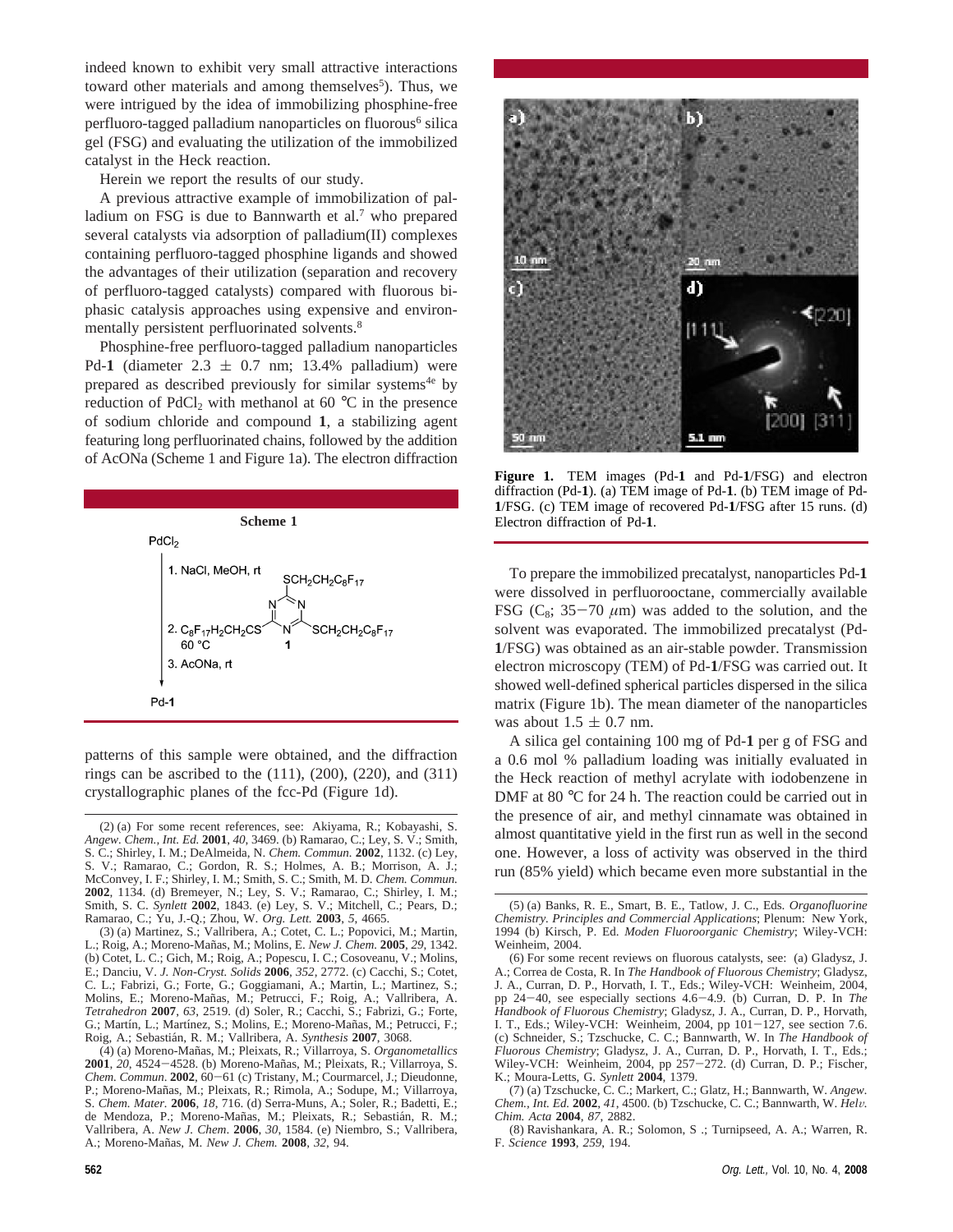indeed known to exhibit very small attractive interactions toward other materials and among themselves<sup>5</sup>). Thus, we were intrigued by the idea of immobilizing phosphine-free perfluoro-tagged palladium nanoparticles on fluorous<sup>6</sup> silica gel (FSG) and evaluating the utilization of the immobilized catalyst in the Heck reaction.

Herein we report the results of our study.

A previous attractive example of immobilization of palladium on FSG is due to Bannwarth et al.<sup>7</sup> who prepared several catalysts via adsorption of palladium(II) complexes containing perfluoro-tagged phosphine ligands and showed the advantages of their utilization (separation and recovery of perfluoro-tagged catalysts) compared with fluorous biphasic catalysis approaches using expensive and environmentally persistent perfluorinated solvents.<sup>8</sup>

Phosphine-free perfluoro-tagged palladium nanoparticles Pd-1 (diameter  $2.3 \pm 0.7$  nm; 13.4% palladium) were prepared as described previously for similar systems<sup>4e</sup> by reduction of  $PdCl_2$  with methanol at 60 °C in the presence of sodium chloride and compound **1**, a stabilizing agent featuring long perfluorinated chains, followed by the addition of AcONa (Scheme 1 and Figure 1a). The electron diffraction



patterns of this sample were obtained, and the diffraction rings can be ascribed to the  $(111)$ ,  $(200)$ ,  $(220)$ , and  $(311)$ crystallographic planes of the fcc-Pd (Figure 1d).

<sup>(4) (</sup>a) Moreno-Man˜as, M.; Pleixats, R.; Villarroya, S. *Organometallics* 2001, 20, 4524-4528. (b) Moreno-Mañas, M.; Pleixats, R.; Villarroya, S. *Chem. Commun*. **<sup>2002</sup>**, 60-61 (c) Tristany, M.; Courmarcel, J.; Dieudonne, P.; Moreno-Mañas, M.; Pleixats, R.; Rimola, A.; Sodupe, M.; Villarroya, S. *Chem. Mater.* **2006**, *18*, 716. (d) Serra-Muns, A.; Soler, R.; Badetti, E.; de Mendoza, P.; Moreno-Mañas, M.; Pleixats, R.; Sebastián, R. M.; Vallribera, A. *New J. Chem*. **2006**, *30*, 1584. (e) Niembro, S.; Vallribera, A.; Moreno-Man˜as, M. *New J. Chem.* **2008**, *32*, 94.





**Figure 1.** TEM images (Pd-**1** and Pd-**1**/FSG) and electron diffraction (Pd-**1**). (a) TEM image of Pd-**1**. (b) TEM image of Pd-**1**/FSG. (c) TEM image of recovered Pd-**1**/FSG after 15 runs. (d) Electron diffraction of Pd-**1**.

To prepare the immobilized precatalyst, nanoparticles Pd-**1** were dissolved in perfluorooctane, commercially available FSG ( $C_8$ ; 35-70  $\mu$ m) was added to the solution, and the solvent was evaporated. The immobilized precatalyst (Pd-**1**/FSG) was obtained as an air-stable powder. Transmission electron microscopy (TEM) of Pd-**1**/FSG was carried out. It showed well-defined spherical particles dispersed in the silica matrix (Figure 1b). The mean diameter of the nanoparticles was about  $1.5 \pm 0.7$  nm.

A silica gel containing 100 mg of Pd-**1** per g of FSG and a 0.6 mol % palladium loading was initially evaluated in the Heck reaction of methyl acrylate with iodobenzene in DMF at 80 °C for 24 h. The reaction could be carried out in the presence of air, and methyl cinnamate was obtained in almost quantitative yield in the first run as well in the second one. However, a loss of activity was observed in the third run (85% yield) which became even more substantial in the

<sup>(2) (</sup>a) For some recent references, see: Akiyama, R.; Kobayashi, S. *Angew. Chem., Int. Ed.* **2001**, *40*, 3469. (b) Ramarao, C.; Ley, S. V.; Smith, S. C.; Shirley, I. M.; DeAlmeida, N. *Chem. Commun.* **2002**, 1132. (c) Ley, S. V.; Ramarao, C.; Gordon, R. S.; Holmes, A. B.; Morrison, A. J.; McConvey, I. F.; Shirley, I. M.; Smith, S. C.; Smith, M. D. *Chem. Commun.* **2002**, 1134. (d) Bremeyer, N.; Ley, S. V.; Ramarao, C.; Shirley, I. M.; Smith, S. C. *Synlett* **2002**, 1843. (e) Ley, S. V.; Mitchell, C.; Pears, D.; Ramarao, C.; Yu, J.-Q.; Zhou, W. *Org. Lett.* **2003**, *5*, 4665.

<sup>(3) (</sup>a) Martinez, S.; Vallribera, A.; Cotet, C. L.; Popovici, M.; Martin, L.; Roig, A.; Moreno-Man˜as, M.; Molins, E. *New J. Chem.* **2005**, *29*, 1342. (b) Cotet, L. C.; Gich, M.; Roig, A.; Popescu, I. C.; Cosoveanu, V.; Molins, E.; Danciu, V. *J. Non-Cryst. Solids* **2006**, *352*, 2772. (c) Cacchi, S.; Cotet, C. L.; Fabrizi, G.; Forte, G.; Goggiamani, A.; Martin, L.; Martinez, S.; Molins, E.; Moreno-Mañas, M.; Petrucci, F.; Roig, A.; Vallribera, A. *Tetrahedron* **2007**, *63*, 2519. (d) Soler, R.; Cacchi, S.; Fabrizi, G.; Forte, G.; Martín, L.; Martínez, S.; Molins, E.; Moreno-Mañas, M.; Petrucci, F.; Roig, A.; Sebastia´n, R. M.; Vallribera, A. *Synthesis* **2007**, 3068.

<sup>(5) (</sup>a) Banks, R. E., Smart, B. E., Tatlow, J. C., Eds. *Organofluorine Chemistry. Principles and Commercial Applications*; Plenum: New York, 1994 (b) Kirsch, P. Ed. *Moden Fluoroorganic Chemistry*; Wiley-VCH: Weinheim, 2004.

<sup>(6)</sup> For some recent reviews on fluorous catalysts, see: (a) Gladysz, J. A.; Correa de Costa, R. In *The Handbook of Fluorous Chemistry*; Gladysz, J. A., Curran, D. P., Horvath, I. T., Eds.; Wiley-VCH: Weinheim, 2004, pp 24-40, see especially sections 4.6-4.9. (b) Curran, D. P. In The pp 24-40, see especially sections 4.6-4.9. (b) Curran, D. P. In *The Handbook of Fluorous Chemistry*; Gladysz, J. A., Curran, D. P., Horvath, I. T., Eds.; Wiley-VCH: Weinheim, 2004, pp 101-127, see section 7.6. (c) Schneider, S.; Tzschucke, C. C.; Bannwarth, W. In *The Handbook of Fluorous Chemistry*; Gladysz, J. A., Curran, D. P., Horvath, I. T., Eds.; Wiley-VCH: Weinheim, 2004, pp 257-272. (d) Curran, D. P.; Fischer, K.; Moura-Letts, G. *Synlett* **2004**, 1379.

<sup>(7) (</sup>a) Tzschucke, C. C.; Markert, C.; Glatz, H.; Bannwarth, W. *Angew. Chem., Int. Ed.* **<sup>2002</sup>**, *<sup>41</sup>*, 4500. (b) Tzschucke, C. C.; Bannwarth, W. *Hel*V*. Chim. Acta* **2004**, *87*, 2882.

<sup>(8)</sup> Ravishankara, A. R.; Solomon, S .; Turnipseed, A. A.; Warren, R. F. *Science* **1993**, *259*, 194.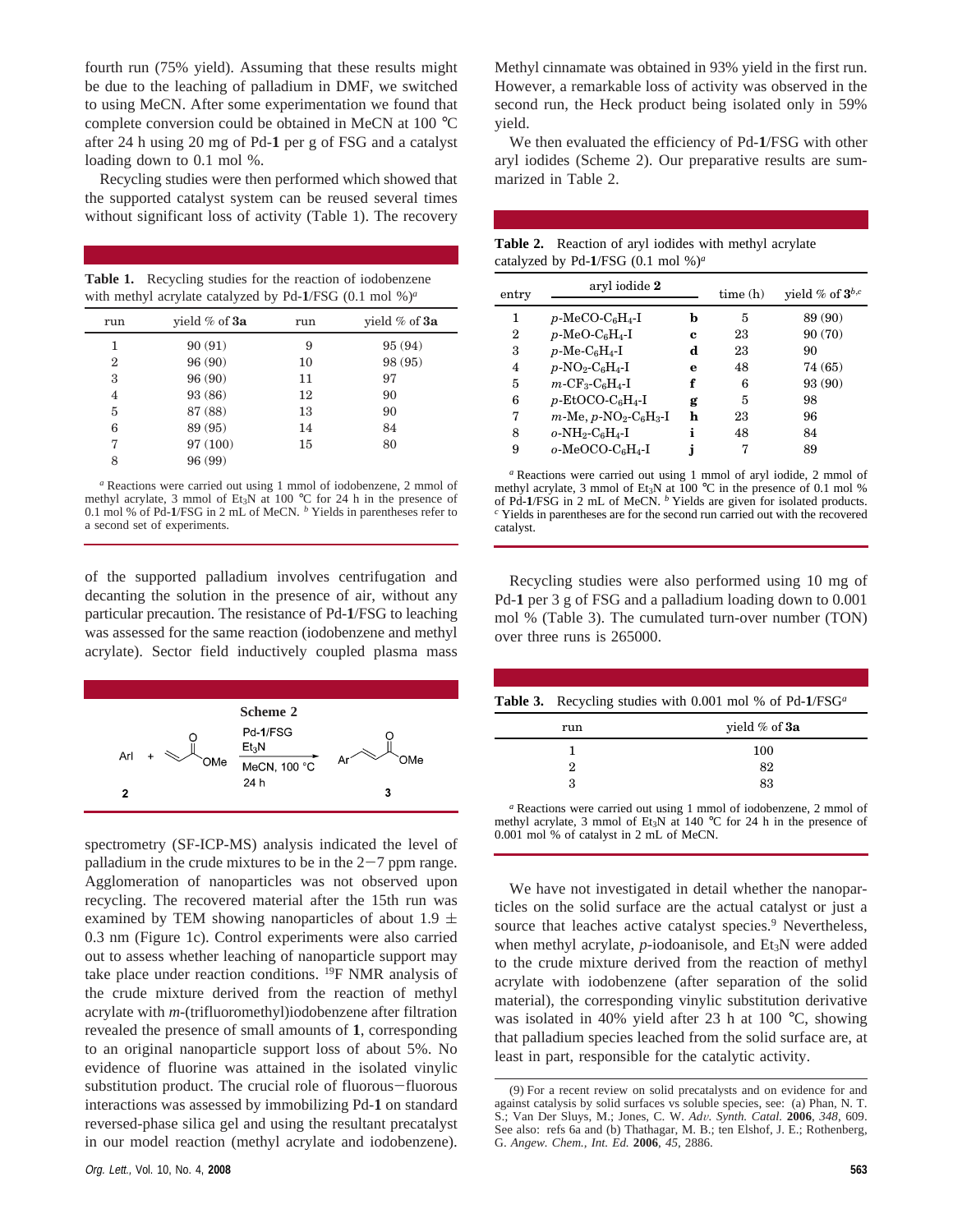fourth run (75% yield). Assuming that these results might be due to the leaching of palladium in DMF, we switched to using MeCN. After some experimentation we found that complete conversion could be obtained in MeCN at 100 °C after 24 h using 20 mg of Pd-**1** per g of FSG and a catalyst loading down to 0.1 mol %.

Recycling studies were then performed which showed that the supported catalyst system can be reused several times without significant loss of activity (Table 1). The recovery

**Table 1.** Recycling studies for the reaction of iodobenzene with methyl acrylate catalyzed by Pd-**1**/FSG (0.1 mol %)*<sup>a</sup>*

| run | vield $%$ of $3a$ | run | vield $%$ of $3a$ |
|-----|-------------------|-----|-------------------|
| 1   | 90(91)            | 9   | 95 (94)           |
| 2   | 96 (90)           | 10  | 98 (95)           |
| 3   | 96 (90)           | 11  | 97                |
| 4   | 93 (86)           | 12  | 90                |
| 5   | 87 (88)           | 13  | 90                |
| 6   | 89 (95)           | 14  | 84                |
| 7   | 97 (100)          | 15  | 80                |
| 8   | 96 (99)           |     |                   |

*<sup>a</sup>* Reactions were carried out using 1 mmol of iodobenzene, 2 mmol of methyl acrylate, 3 mmol of Et<sub>3</sub>N at 100 °C for 24 h in the presence of 0.1 mol % of Pd-**1**/FSG in 2 mL of MeCN. *<sup>b</sup>* Yields in parentheses refer to a second set of experiments.

of the supported palladium involves centrifugation and decanting the solution in the presence of air, without any particular precaution. The resistance of Pd-**1**/FSG to leaching was assessed for the same reaction (iodobenzene and methyl acrylate). Sector field inductively coupled plasma mass



spectrometry (SF-ICP-MS) analysis indicated the level of palladium in the crude mixtures to be in the  $2-7$  ppm range. Agglomeration of nanoparticles was not observed upon recycling. The recovered material after the 15th run was examined by TEM showing nanoparticles of about 1.9  $\pm$ 0.3 nm (Figure 1c). Control experiments were also carried out to assess whether leaching of nanoparticle support may take place under reaction conditions. 19F NMR analysis of the crude mixture derived from the reaction of methyl acrylate with *m*-(trifluoromethyl)iodobenzene after filtration revealed the presence of small amounts of **1**, corresponding to an original nanoparticle support loss of about 5%. No evidence of fluorine was attained in the isolated vinylic substitution product. The crucial role of fluorous-fluorous interactions was assessed by immobilizing Pd-**1** on standard reversed-phase silica gel and using the resultant precatalyst in our model reaction (methyl acrylate and iodobenzene).

Methyl cinnamate was obtained in 93% yield in the first run. However, a remarkable loss of activity was observed in the second run, the Heck product being isolated only in 59% yield.

We then evaluated the efficiency of Pd-**1**/FSG with other aryl iodides (Scheme 2). Our preparative results are summarized in Table 2.

| <b>Table 2.</b> Reaction of aryl iodides with methyl acrylate |  |  |
|---------------------------------------------------------------|--|--|
| catalyzed by Pd-1/FSG $(0.1 \text{ mol } \%)^a$               |  |  |

| entry | aryl iodide 2                                                   |   | time(h) | yield % of $3^{b,c}$ |
|-------|-----------------------------------------------------------------|---|---------|----------------------|
| 1     | $p$ -MeCO-C <sub>6</sub> H <sub>4</sub> -I                      | b | 5       | 89 (90)              |
| 2     | $p$ -MeO-C <sub>6</sub> H <sub>4</sub> -I                       | c | 23      | 90 (70)              |
| 3     | $p$ -Me-C <sub>6</sub> H <sub>4</sub> -I                        | d | 23      | 90                   |
| 4     | $p$ -NO <sub>2</sub> -C <sub>6</sub> H <sub>4</sub> -I          | e | 48      | 74 (65)              |
| 5     | $m$ -CF <sub>3</sub> -C <sub>6</sub> H <sub>4</sub> -I          | f | 6       | 93 (90)              |
| 6     | $p$ -EtOCO-C <sub>6</sub> H <sub>4</sub> -I                     | g | 5       | 98                   |
| 7     | $m$ -Me, $p$ -NO <sub>2</sub> -C <sub>6</sub> H <sub>3</sub> -I | h | 23      | 96                   |
| 8     | $o\text{-}NH_2\text{-}C_6H_4\text{-}I$                          | i | 48      | 84                   |
| 9     | $o$ -MeOCO-C $6H_4$ -I                                          |   |         | 89                   |

*<sup>a</sup>* Reactions were carried out using 1 mmol of aryl iodide, 2 mmol of methyl acrylate, 3 mmol of Et<sub>3</sub>N at  $100^{\circ}$ C in the presence of 0.1 mol % of Pd-1/FSG in 2 mL of MeCN. <sup>b</sup> Yields are given for isolated products. <sup>*c*</sup> Yields in parentheses are for the second run carried out with the recovered catalyst.

Recycling studies were also performed using 10 mg of Pd-**1** per 3 g of FSG and a palladium loading down to 0.001 mol % (Table 3). The cumulated turn-over number (TON) over three runs is 265000.

| <b>Table 3.</b> Recycling studies with 0.001 mol % of Pd-1/FSG <sup>a</sup> |  |  |  |  |
|-----------------------------------------------------------------------------|--|--|--|--|

| run | yield % of 3a |
|-----|---------------|
|     | 100           |
| 2   | 82            |
| З   | 83            |

*<sup>a</sup>* Reactions were carried out using 1 mmol of iodobenzene, 2 mmol of methyl acrylate, 3 mmol of Et<sub>3</sub>N at 140 °C for 24 h in the presence of 0.001 mol % of catalyst in 2 mL of MeCN.

We have not investigated in detail whether the nanoparticles on the solid surface are the actual catalyst or just a source that leaches active catalyst species.<sup>9</sup> Nevertheless, when methyl acrylate, *p*-iodoanisole, and Et<sub>3</sub>N were added to the crude mixture derived from the reaction of methyl acrylate with iodobenzene (after separation of the solid material), the corresponding vinylic substitution derivative was isolated in 40% yield after 23 h at 100 °C, showing that palladium species leached from the solid surface are, at least in part, responsible for the catalytic activity.

<sup>(9)</sup> For a recent review on solid precatalysts and on evidence for and against catalysis by solid surfaces vs soluble species, see: (a) Phan, N. T. S.; Van Der Sluys, M.; Jones, C. W. *Ad*V*. Synth. Catal.* **<sup>2006</sup>**, *<sup>348</sup>*, 609. See also: refs 6a and (b) Thathagar, M. B.; ten Elshof, J. E.; Rothenberg, G. *Angew. Chem., Int. Ed.* **2006**, *45*, 2886.